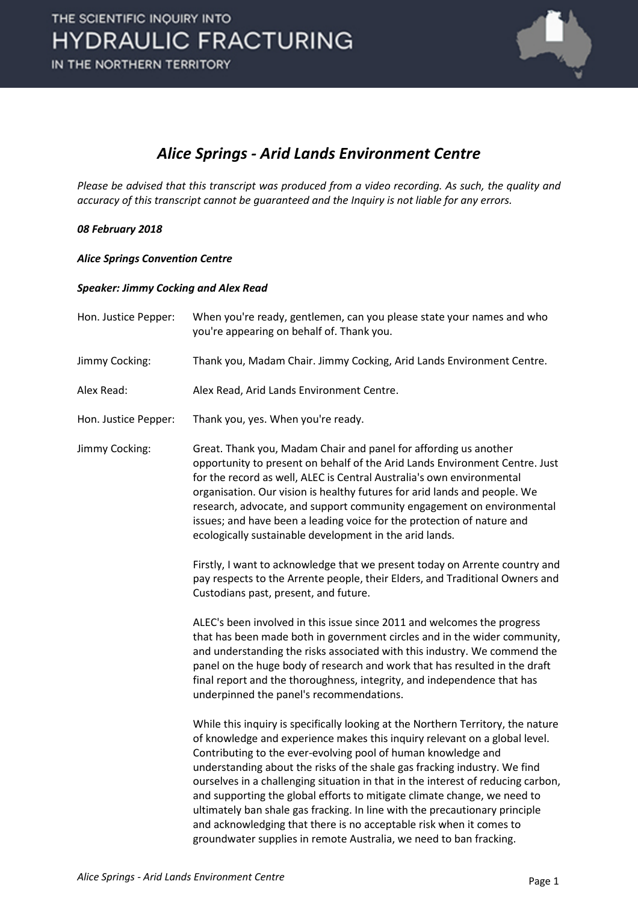

### *Alice Springs - Arid Lands Environment Centre*

*Please be advised that this transcript was produced from a video recording. As such, the quality and accuracy of this transcript cannot be guaranteed and the Inquiry is not liable for any errors.*

#### *08 February 2018*

*Alice Springs Convention Centre*

#### *Speaker: Jimmy Cocking and Alex Read*

| Hon. Justice Pepper: | When you're ready, gentlemen, can you please state your names and who<br>you're appearing on behalf of. Thank you.                                                                                                                                                                                                                                                                                                                                                                                                                                                                                                                                                                                       |
|----------------------|----------------------------------------------------------------------------------------------------------------------------------------------------------------------------------------------------------------------------------------------------------------------------------------------------------------------------------------------------------------------------------------------------------------------------------------------------------------------------------------------------------------------------------------------------------------------------------------------------------------------------------------------------------------------------------------------------------|
| Jimmy Cocking:       | Thank you, Madam Chair. Jimmy Cocking, Arid Lands Environment Centre.                                                                                                                                                                                                                                                                                                                                                                                                                                                                                                                                                                                                                                    |
| Alex Read:           | Alex Read, Arid Lands Environment Centre.                                                                                                                                                                                                                                                                                                                                                                                                                                                                                                                                                                                                                                                                |
| Hon. Justice Pepper: | Thank you, yes. When you're ready.                                                                                                                                                                                                                                                                                                                                                                                                                                                                                                                                                                                                                                                                       |
| Jimmy Cocking:       | Great. Thank you, Madam Chair and panel for affording us another<br>opportunity to present on behalf of the Arid Lands Environment Centre. Just<br>for the record as well, ALEC is Central Australia's own environmental<br>organisation. Our vision is healthy futures for arid lands and people. We<br>research, advocate, and support community engagement on environmental<br>issues; and have been a leading voice for the protection of nature and<br>ecologically sustainable development in the arid lands.                                                                                                                                                                                      |
|                      | Firstly, I want to acknowledge that we present today on Arrente country and<br>pay respects to the Arrente people, their Elders, and Traditional Owners and<br>Custodians past, present, and future.                                                                                                                                                                                                                                                                                                                                                                                                                                                                                                     |
|                      | ALEC's been involved in this issue since 2011 and welcomes the progress<br>that has been made both in government circles and in the wider community,<br>and understanding the risks associated with this industry. We commend the<br>panel on the huge body of research and work that has resulted in the draft<br>final report and the thoroughness, integrity, and independence that has<br>underpinned the panel's recommendations.                                                                                                                                                                                                                                                                   |
|                      | While this inquiry is specifically looking at the Northern Territory, the nature<br>of knowledge and experience makes this inquiry relevant on a global level.<br>Contributing to the ever-evolving pool of human knowledge and<br>understanding about the risks of the shale gas fracking industry. We find<br>ourselves in a challenging situation in that in the interest of reducing carbon,<br>and supporting the global efforts to mitigate climate change, we need to<br>ultimately ban shale gas fracking. In line with the precautionary principle<br>and acknowledging that there is no acceptable risk when it comes to<br>groundwater supplies in remote Australia, we need to ban fracking. |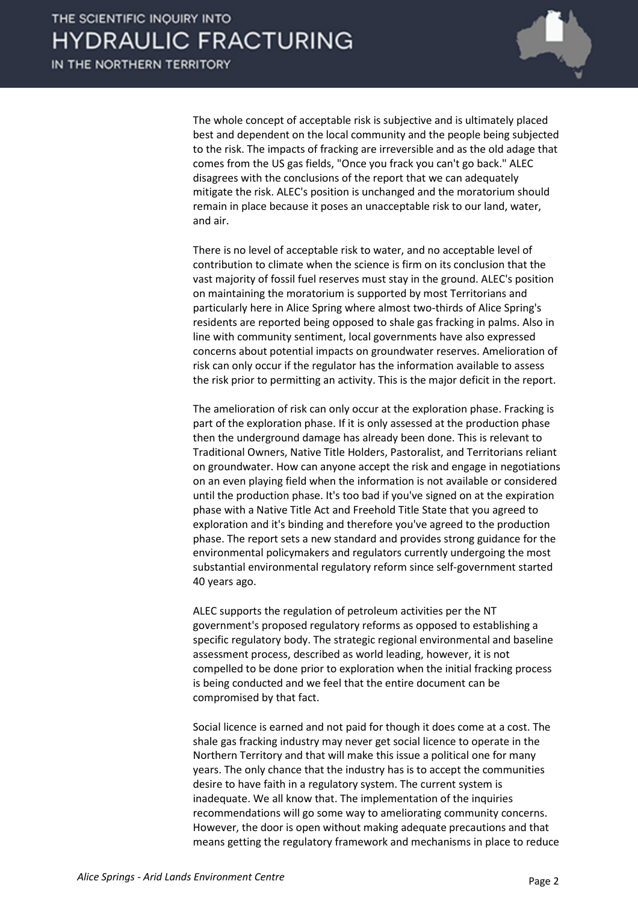

The whole concept of acceptable risk is subjective and is ultimately placed best and dependent on the local community and the people being subjected to the risk. The impacts of fracking are irreversible and as the old adage that comes from the US gas fields, "Once you frack you can't go back." ALEC disagrees with the conclusions of the report that we can adequately mitigate the risk. ALEC's position is unchanged and the moratorium should remain in place because it poses an unacceptable risk to our land, water, and air.

There is no level of acceptable risk to water, and no acceptable level of contribution to climate when the science is firm on its conclusion that the vast majority of fossil fuel reserves must stay in the ground. ALEC's position on maintaining the moratorium is supported by most Territorians and particularly here in Alice Spring where almost two-thirds of Alice Spring's residents are reported being opposed to shale gas fracking in palms. Also in line with community sentiment, local governments have also expressed concerns about potential impacts on groundwater reserves. Amelioration of risk can only occur if the regulator has the information available to assess the risk prior to permitting an activity. This is the major deficit in the report.

The amelioration of risk can only occur at the exploration phase. Fracking is part of the exploration phase. If it is only assessed at the production phase then the underground damage has already been done. This is relevant to Traditional Owners, Native Title Holders, Pastoralist, and Territorians reliant on groundwater. How can anyone accept the risk and engage in negotiations on an even playing field when the information is not available or considered until the production phase. It's too bad if you've signed on at the expiration phase with a Native Title Act and Freehold Title State that you agreed to exploration and it's binding and therefore you've agreed to the production phase. The report sets a new standard and provides strong guidance for the environmental policymakers and regulators currently undergoing the most substantial environmental regulatory reform since self-government started 40 years ago.

ALEC supports the regulation of petroleum activities per the NT government's proposed regulatory reforms as opposed to establishing a specific regulatory body. The strategic regional environmental and baseline assessment process, described as world leading, however, it is not compelled to be done prior to exploration when the initial fracking process is being conducted and we feel that the entire document can be compromised by that fact.

Social licence is earned and not paid for though it does come at a cost. The shale gas fracking industry may never get social licence to operate in the Northern Territory and that will make this issue a political one for many years. The only chance that the industry has is to accept the communities desire to have faith in a regulatory system. The current system is inadequate. We all know that. The implementation of the inquiries recommendations will go some way to ameliorating community concerns. However, the door is open without making adequate precautions and that means getting the regulatory framework and mechanisms in place to reduce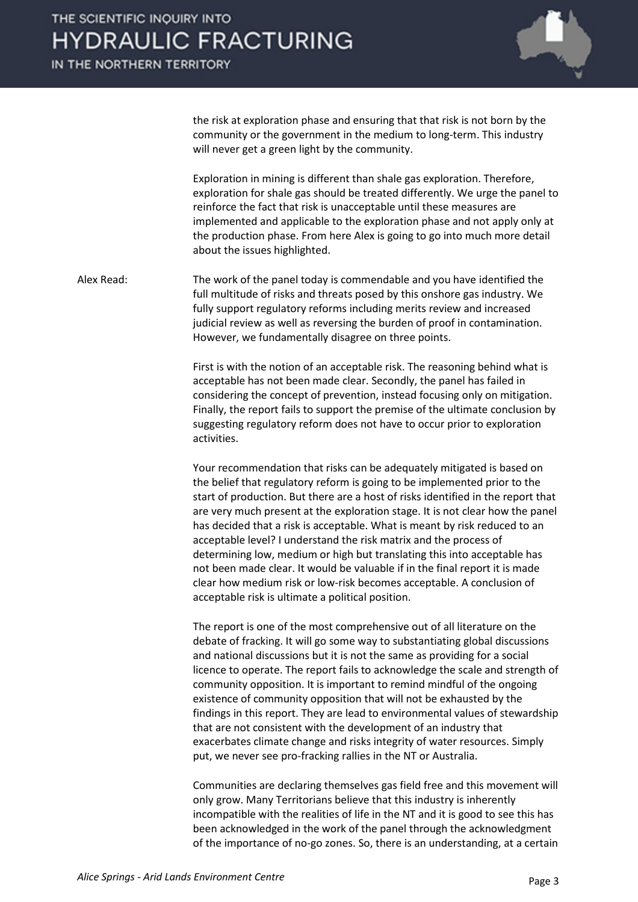

the risk at exploration phase and ensuring that that risk is not born by the community or the government in the medium to long-term. This industry will never get a green light by the community.

Exploration in mining is different than shale gas exploration. Therefore, exploration for shale gas should be treated differently. We urge the panel to reinforce the fact that risk is unacceptable until these measures are implemented and applicable to the exploration phase and not apply only at the production phase. From here Alex is going to go into much more detail about the issues highlighted.

Alex Read: The work of the panel today is commendable and you have identified the full multitude of risks and threats posed by this onshore gas industry. We fully support regulatory reforms including merits review and increased judicial review as well as reversing the burden of proof in contamination. However, we fundamentally disagree on three points.

> First is with the notion of an acceptable risk. The reasoning behind what is acceptable has not been made clear. Secondly, the panel has failed in considering the concept of prevention, instead focusing only on mitigation. Finally, the report fails to support the premise of the ultimate conclusion by suggesting regulatory reform does not have to occur prior to exploration activities.

> Your recommendation that risks can be adequately mitigated is based on the belief that regulatory reform is going to be implemented prior to the start of production. But there are a host of risks identified in the report that are very much present at the exploration stage. It is not clear how the panel has decided that a risk is acceptable. What is meant by risk reduced to an acceptable level? I understand the risk matrix and the process of determining low, medium or high but translating this into acceptable has not been made clear. It would be valuable if in the final report it is made clear how medium risk or low-risk becomes acceptable. A conclusion of acceptable risk is ultimate a political position.

> The report is one of the most comprehensive out of all literature on the debate of fracking. It will go some way to substantiating global discussions and national discussions but it is not the same as providing for a social licence to operate. The report fails to acknowledge the scale and strength of community opposition. It is important to remind mindful of the ongoing existence of community opposition that will not be exhausted by the findings in this report. They are lead to environmental values of stewardship that are not consistent with the development of an industry that exacerbates climate change and risks integrity of water resources. Simply put, we never see pro-fracking rallies in the NT or Australia.

> Communities are declaring themselves gas field free and this movement will only grow. Many Territorians believe that this industry is inherently incompatible with the realities of life in the NT and it is good to see this has been acknowledged in the work of the panel through the acknowledgment of the importance of no-go zones. So, there is an understanding, at a certain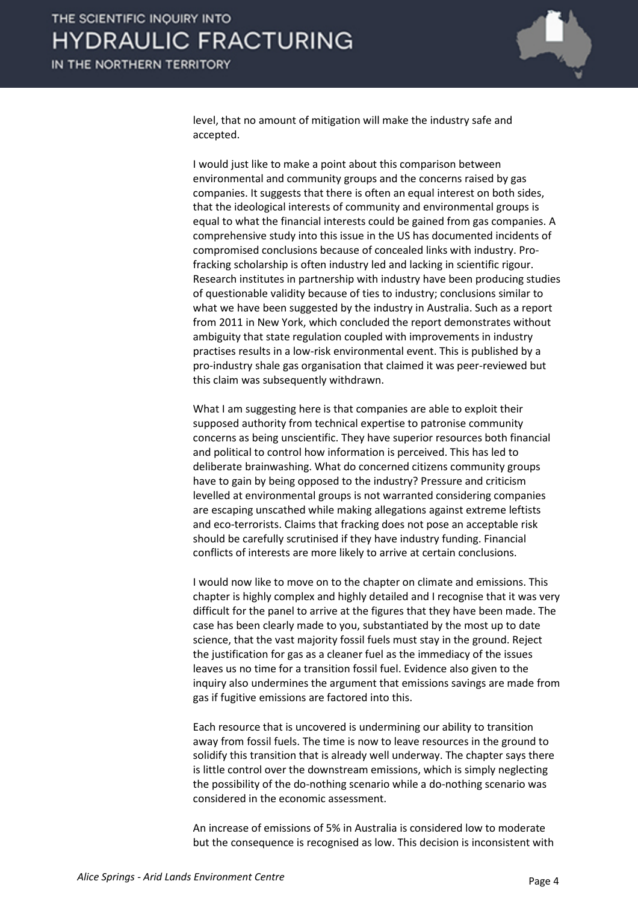

level, that no amount of mitigation will make the industry safe and accepted.

I would just like to make a point about this comparison between environmental and community groups and the concerns raised by gas companies. It suggests that there is often an equal interest on both sides, that the ideological interests of community and environmental groups is equal to what the financial interests could be gained from gas companies. A comprehensive study into this issue in the US has documented incidents of compromised conclusions because of concealed links with industry. Profracking scholarship is often industry led and lacking in scientific rigour. Research institutes in partnership with industry have been producing studies of questionable validity because of ties to industry; conclusions similar to what we have been suggested by the industry in Australia. Such as a report from 2011 in New York, which concluded the report demonstrates without ambiguity that state regulation coupled with improvements in industry practises results in a low-risk environmental event. This is published by a pro-industry shale gas organisation that claimed it was peer-reviewed but this claim was subsequently withdrawn.

What I am suggesting here is that companies are able to exploit their supposed authority from technical expertise to patronise community concerns as being unscientific. They have superior resources both financial and political to control how information is perceived. This has led to deliberate brainwashing. What do concerned citizens community groups have to gain by being opposed to the industry? Pressure and criticism levelled at environmental groups is not warranted considering companies are escaping unscathed while making allegations against extreme leftists and eco-terrorists. Claims that fracking does not pose an acceptable risk should be carefully scrutinised if they have industry funding. Financial conflicts of interests are more likely to arrive at certain conclusions.

I would now like to move on to the chapter on climate and emissions. This chapter is highly complex and highly detailed and I recognise that it was very difficult for the panel to arrive at the figures that they have been made. The case has been clearly made to you, substantiated by the most up to date science, that the vast majority fossil fuels must stay in the ground. Reject the justification for gas as a cleaner fuel as the immediacy of the issues leaves us no time for a transition fossil fuel. Evidence also given to the inquiry also undermines the argument that emissions savings are made from gas if fugitive emissions are factored into this.

Each resource that is uncovered is undermining our ability to transition away from fossil fuels. The time is now to leave resources in the ground to solidify this transition that is already well underway. The chapter says there is little control over the downstream emissions, which is simply neglecting the possibility of the do-nothing scenario while a do-nothing scenario was considered in the economic assessment.

An increase of emissions of 5% in Australia is considered low to moderate but the consequence is recognised as low. This decision is inconsistent with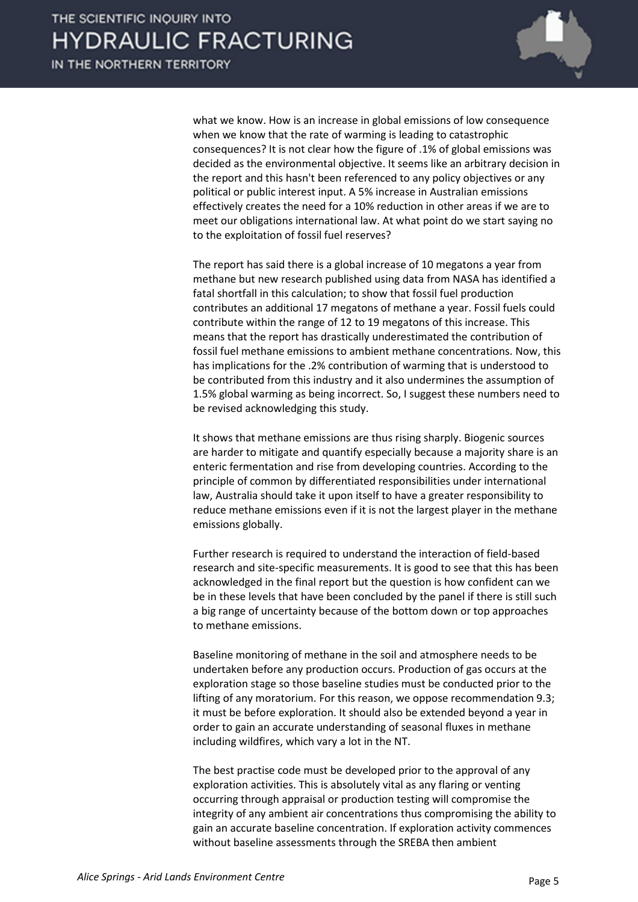

what we know. How is an increase in global emissions of low consequence when we know that the rate of warming is leading to catastrophic consequences? It is not clear how the figure of .1% of global emissions was decided as the environmental objective. It seems like an arbitrary decision in the report and this hasn't been referenced to any policy objectives or any political or public interest input. A 5% increase in Australian emissions effectively creates the need for a 10% reduction in other areas if we are to meet our obligations international law. At what point do we start saying no to the exploitation of fossil fuel reserves?

The report has said there is a global increase of 10 megatons a year from methane but new research published using data from NASA has identified a fatal shortfall in this calculation; to show that fossil fuel production contributes an additional 17 megatons of methane a year. Fossil fuels could contribute within the range of 12 to 19 megatons of this increase. This means that the report has drastically underestimated the contribution of fossil fuel methane emissions to ambient methane concentrations. Now, this has implications for the .2% contribution of warming that is understood to be contributed from this industry and it also undermines the assumption of 1.5% global warming as being incorrect. So, I suggest these numbers need to be revised acknowledging this study.

It shows that methane emissions are thus rising sharply. Biogenic sources are harder to mitigate and quantify especially because a majority share is an enteric fermentation and rise from developing countries. According to the principle of common by differentiated responsibilities under international law, Australia should take it upon itself to have a greater responsibility to reduce methane emissions even if it is not the largest player in the methane emissions globally.

Further research is required to understand the interaction of field-based research and site-specific measurements. It is good to see that this has been acknowledged in the final report but the question is how confident can we be in these levels that have been concluded by the panel if there is still such a big range of uncertainty because of the bottom down or top approaches to methane emissions.

Baseline monitoring of methane in the soil and atmosphere needs to be undertaken before any production occurs. Production of gas occurs at the exploration stage so those baseline studies must be conducted prior to the lifting of any moratorium. For this reason, we oppose recommendation 9.3; it must be before exploration. It should also be extended beyond a year in order to gain an accurate understanding of seasonal fluxes in methane including wildfires, which vary a lot in the NT.

The best practise code must be developed prior to the approval of any exploration activities. This is absolutely vital as any flaring or venting occurring through appraisal or production testing will compromise the integrity of any ambient air concentrations thus compromising the ability to gain an accurate baseline concentration. If exploration activity commences without baseline assessments through the SREBA then ambient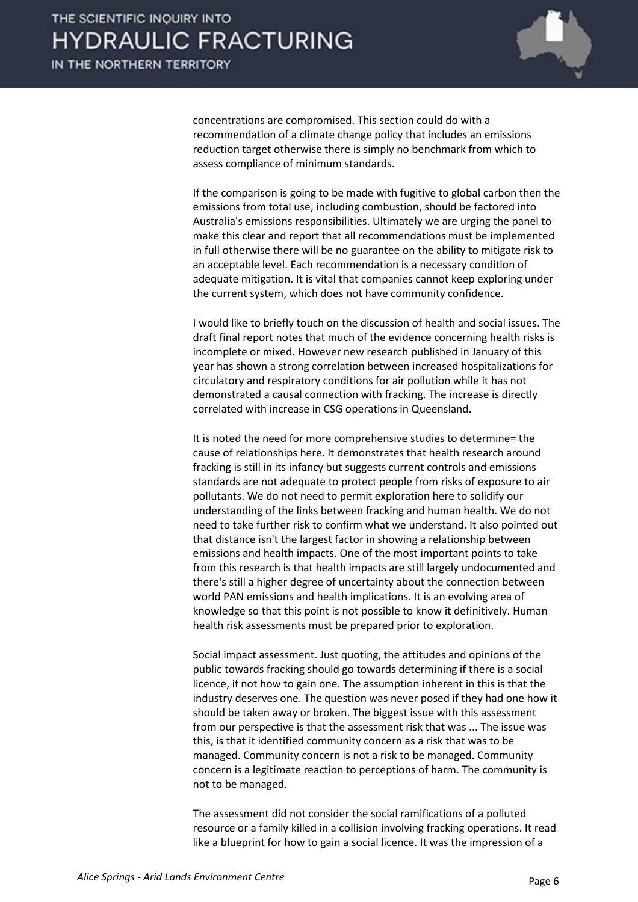

concentrations are compromised. This section could do with a recommendation of a climate change policy that includes an emissions reduction target otherwise there is simply no benchmark from which to assess compliance of minimum standards.

If the comparison is going to be made with fugitive to global carbon then the emissions from total use, including combustion, should be factored into Australia's emissions responsibilities. Ultimately we are urging the panel to make this clear and report that all recommendations must be implemented in full otherwise there will be no guarantee on the ability to mitigate risk to an acceptable level. Each recommendation is a necessary condition of adequate mitigation. It is vital that companies cannot keep exploring under the current system, which does not have community confidence.

I would like to briefly touch on the discussion of health and social issues. The draft final report notes that much of the evidence concerning health risks is incomplete or mixed. However new research published in January of this year has shown a strong correlation between increased hospitalizations for circulatory and respiratory conditions for air pollution while it has not demonstrated a causal connection with fracking. The increase is directly correlated with increase in CSG operations in Queensland.

It is noted the need for more comprehensive studies to determine= the cause of relationships here. It demonstrates that health research around fracking is still in its infancy but suggests current controls and emissions standards are not adequate to protect people from risks of exposure to air pollutants. We do not need to permit exploration here to solidify our understanding of the links between fracking and human health. We do not need to take further risk to confirm what we understand. It also pointed out that distance isn't the largest factor in showing a relationship between emissions and health impacts. One of the most important points to take from this research is that health impacts are still largely undocumented and there's still a higher degree of uncertainty about the connection between world PAN emissions and health implications. It is an evolving area of knowledge so that this point is not possible to know it definitively. Human health risk assessments must be prepared prior to exploration.

Social impact assessment. Just quoting, the attitudes and opinions of the public towards fracking should go towards determining if there is a social licence, if not how to gain one. The assumption inherent in this is that the industry deserves one. The question was never posed if they had one how it should be taken away or broken. The biggest issue with this assessment from our perspective is that the assessment risk that was ... The issue was this, is that it identified community concern as a risk that was to be managed. Community concern is not a risk to be managed. Community concern is a legitimate reaction to perceptions of harm. The community is not to be managed.

The assessment did not consider the social ramifications of a polluted resource or a family killed in a collision involving fracking operations. It read like a blueprint for how to gain a social licence. It was the impression of a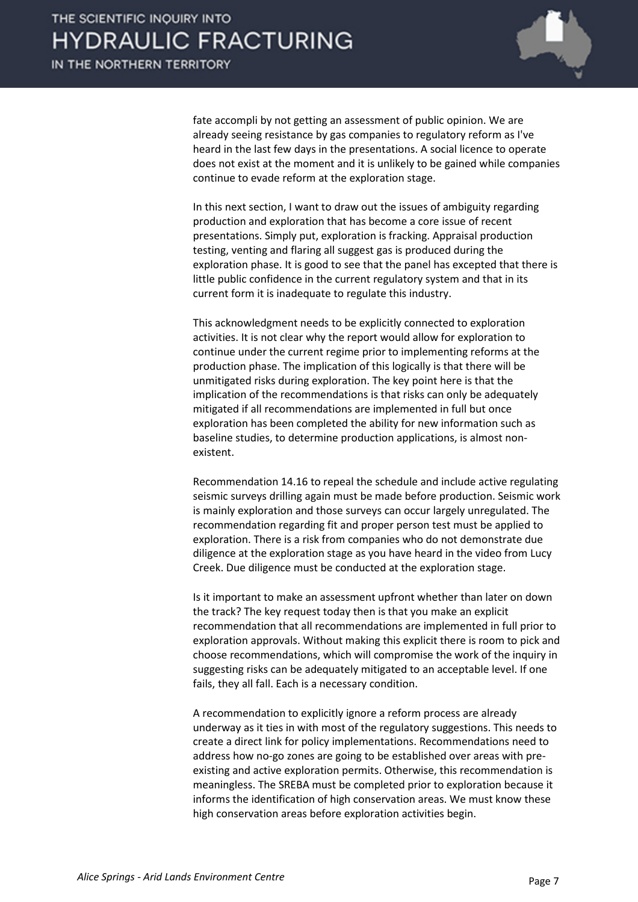

fate accompli by not getting an assessment of public opinion. We are already seeing resistance by gas companies to regulatory reform as I've heard in the last few days in the presentations. A social licence to operate does not exist at the moment and it is unlikely to be gained while companies continue to evade reform at the exploration stage.

In this next section, I want to draw out the issues of ambiguity regarding production and exploration that has become a core issue of recent presentations. Simply put, exploration is fracking. Appraisal production testing, venting and flaring all suggest gas is produced during the exploration phase. It is good to see that the panel has excepted that there is little public confidence in the current regulatory system and that in its current form it is inadequate to regulate this industry.

This acknowledgment needs to be explicitly connected to exploration activities. It is not clear why the report would allow for exploration to continue under the current regime prior to implementing reforms at the production phase. The implication of this logically is that there will be unmitigated risks during exploration. The key point here is that the implication of the recommendations is that risks can only be adequately mitigated if all recommendations are implemented in full but once exploration has been completed the ability for new information such as baseline studies, to determine production applications, is almost nonexistent.

Recommendation 14.16 to repeal the schedule and include active regulating seismic surveys drilling again must be made before production. Seismic work is mainly exploration and those surveys can occur largely unregulated. The recommendation regarding fit and proper person test must be applied to exploration. There is a risk from companies who do not demonstrate due diligence at the exploration stage as you have heard in the video from Lucy Creek. Due diligence must be conducted at the exploration stage.

Is it important to make an assessment upfront whether than later on down the track? The key request today then is that you make an explicit recommendation that all recommendations are implemented in full prior to exploration approvals. Without making this explicit there is room to pick and choose recommendations, which will compromise the work of the inquiry in suggesting risks can be adequately mitigated to an acceptable level. If one fails, they all fall. Each is a necessary condition.

A recommendation to explicitly ignore a reform process are already underway as it ties in with most of the regulatory suggestions. This needs to create a direct link for policy implementations. Recommendations need to address how no-go zones are going to be established over areas with preexisting and active exploration permits. Otherwise, this recommendation is meaningless. The SREBA must be completed prior to exploration because it informs the identification of high conservation areas. We must know these high conservation areas before exploration activities begin.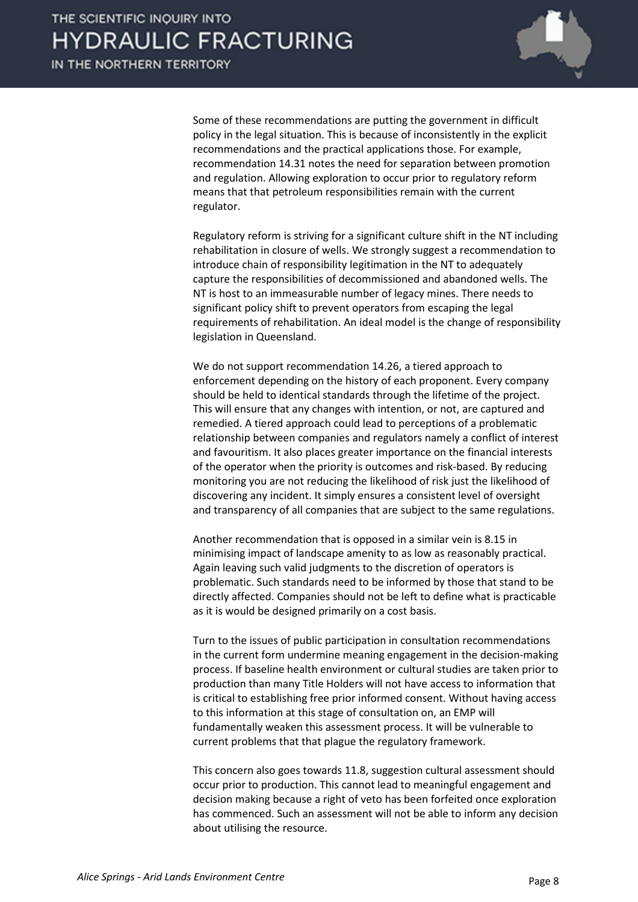

Some of these recommendations are putting the government in difficult policy in the legal situation. This is because of inconsistently in the explicit recommendations and the practical applications those. For example, recommendation 14.31 notes the need for separation between promotion and regulation. Allowing exploration to occur prior to regulatory reform means that that petroleum responsibilities remain with the current regulator.

Regulatory reform is striving for a significant culture shift in the NT including rehabilitation in closure of wells. We strongly suggest a recommendation to introduce chain of responsibility legitimation in the NT to adequately capture the responsibilities of decommissioned and abandoned wells. The NT is host to an immeasurable number of legacy mines. There needs to significant policy shift to prevent operators from escaping the legal requirements of rehabilitation. An ideal model is the change of responsibility legislation in Queensland.

We do not support recommendation 14.26, a tiered approach to enforcement depending on the history of each proponent. Every company should be held to identical standards through the lifetime of the project. This will ensure that any changes with intention, or not, are captured and remedied. A tiered approach could lead to perceptions of a problematic relationship between companies and regulators namely a conflict of interest and favouritism. It also places greater importance on the financial interests of the operator when the priority is outcomes and risk-based. By reducing monitoring you are not reducing the likelihood of risk just the likelihood of discovering any incident. It simply ensures a consistent level of oversight and transparency of all companies that are subject to the same regulations.

Another recommendation that is opposed in a similar vein is 8.15 in minimising impact of landscape amenity to as low as reasonably practical. Again leaving such valid judgments to the discretion of operators is problematic. Such standards need to be informed by those that stand to be directly affected. Companies should not be left to define what is practicable as it is would be designed primarily on a cost basis.

Turn to the issues of public participation in consultation recommendations in the current form undermine meaning engagement in the decision-making process. If baseline health environment or cultural studies are taken prior to production than many Title Holders will not have access to information that is critical to establishing free prior informed consent. Without having access to this information at this stage of consultation on, an EMP will fundamentally weaken this assessment process. It will be vulnerable to current problems that that plague the regulatory framework.

This concern also goes towards 11.8, suggestion cultural assessment should occur prior to production. This cannot lead to meaningful engagement and decision making because a right of veto has been forfeited once exploration has commenced. Such an assessment will not be able to inform any decision about utilising the resource.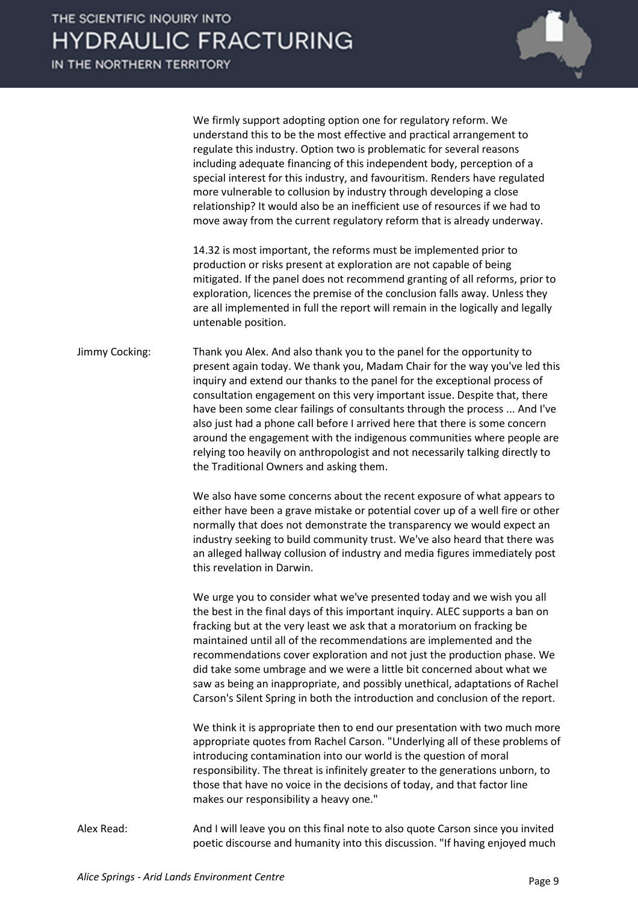

We firmly support adopting option one for regulatory reform. We understand this to be the most effective and practical arrangement to regulate this industry. Option two is problematic for several reasons including adequate financing of this independent body, perception of a special interest for this industry, and favouritism. Renders have regulated more vulnerable to collusion by industry through developing a close relationship? It would also be an inefficient use of resources if we had to move away from the current regulatory reform that is already underway.

14.32 is most important, the reforms must be implemented prior to production or risks present at exploration are not capable of being mitigated. If the panel does not recommend granting of all reforms, prior to exploration, licences the premise of the conclusion falls away. Unless they are all implemented in full the report will remain in the logically and legally untenable position.

Jimmy Cocking: Thank you Alex. And also thank you to the panel for the opportunity to present again today. We thank you, Madam Chair for the way you've led this inquiry and extend our thanks to the panel for the exceptional process of consultation engagement on this very important issue. Despite that, there have been some clear failings of consultants through the process ... And I've also just had a phone call before I arrived here that there is some concern around the engagement with the indigenous communities where people are relying too heavily on anthropologist and not necessarily talking directly to the Traditional Owners and asking them.

> We also have some concerns about the recent exposure of what appears to either have been a grave mistake or potential cover up of a well fire or other normally that does not demonstrate the transparency we would expect an industry seeking to build community trust. We've also heard that there was an alleged hallway collusion of industry and media figures immediately post this revelation in Darwin.

> We urge you to consider what we've presented today and we wish you all the best in the final days of this important inquiry. ALEC supports a ban on fracking but at the very least we ask that a moratorium on fracking be maintained until all of the recommendations are implemented and the recommendations cover exploration and not just the production phase. We did take some umbrage and we were a little bit concerned about what we saw as being an inappropriate, and possibly unethical, adaptations of Rachel Carson's Silent Spring in both the introduction and conclusion of the report.

> We think it is appropriate then to end our presentation with two much more appropriate quotes from Rachel Carson. "Underlying all of these problems of introducing contamination into our world is the question of moral responsibility. The threat is infinitely greater to the generations unborn, to those that have no voice in the decisions of today, and that factor line makes our responsibility a heavy one."

Alex Read: And I will leave you on this final note to also quote Carson since you invited poetic discourse and humanity into this discussion. "If having enjoyed much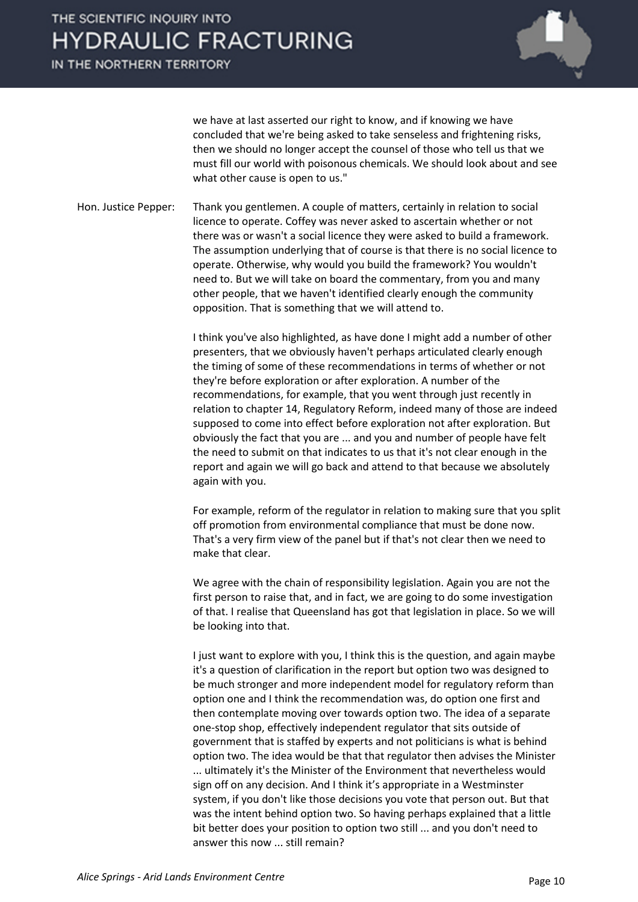

we have at last asserted our right to know, and if knowing we have concluded that we're being asked to take senseless and frightening risks, then we should no longer accept the counsel of those who tell us that we must fill our world with poisonous chemicals. We should look about and see what other cause is open to us."

Hon. Justice Pepper: Thank you gentlemen. A couple of matters, certainly in relation to social licence to operate. Coffey was never asked to ascertain whether or not there was or wasn't a social licence they were asked to build a framework. The assumption underlying that of course is that there is no social licence to operate. Otherwise, why would you build the framework? You wouldn't need to. But we will take on board the commentary, from you and many other people, that we haven't identified clearly enough the community opposition. That is something that we will attend to.

> I think you've also highlighted, as have done I might add a number of other presenters, that we obviously haven't perhaps articulated clearly enough the timing of some of these recommendations in terms of whether or not they're before exploration or after exploration. A number of the recommendations, for example, that you went through just recently in relation to chapter 14, Regulatory Reform, indeed many of those are indeed supposed to come into effect before exploration not after exploration. But obviously the fact that you are ... and you and number of people have felt the need to submit on that indicates to us that it's not clear enough in the report and again we will go back and attend to that because we absolutely again with you.

> For example, reform of the regulator in relation to making sure that you split off promotion from environmental compliance that must be done now. That's a very firm view of the panel but if that's not clear then we need to make that clear.

We agree with the chain of responsibility legislation. Again you are not the first person to raise that, and in fact, we are going to do some investigation of that. I realise that Queensland has got that legislation in place. So we will be looking into that.

I just want to explore with you, I think this is the question, and again maybe it's a question of clarification in the report but option two was designed to be much stronger and more independent model for regulatory reform than option one and I think the recommendation was, do option one first and then contemplate moving over towards option two. The idea of a separate one-stop shop, effectively independent regulator that sits outside of government that is staffed by experts and not politicians is what is behind option two. The idea would be that that regulator then advises the Minister ... ultimately it's the Minister of the Environment that nevertheless would sign off on any decision. And I think it's appropriate in a Westminster system, if you don't like those decisions you vote that person out. But that was the intent behind option two. So having perhaps explained that a little bit better does your position to option two still ... and you don't need to answer this now ... still remain?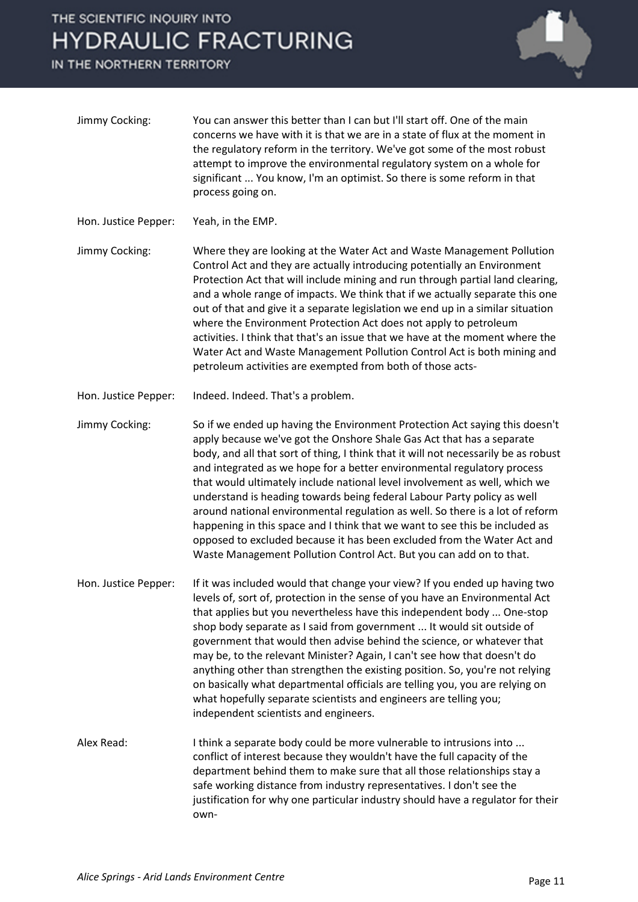

- Jimmy Cocking: You can answer this better than I can but I'll start off. One of the main concerns we have with it is that we are in a state of flux at the moment in the regulatory reform in the territory. We've got some of the most robust attempt to improve the environmental regulatory system on a whole for significant ... You know, I'm an optimist. So there is some reform in that process going on.
- Hon. Justice Pepper: Yeah, in the EMP.
- Jimmy Cocking: Where they are looking at the Water Act and Waste Management Pollution Control Act and they are actually introducing potentially an Environment Protection Act that will include mining and run through partial land clearing, and a whole range of impacts. We think that if we actually separate this one out of that and give it a separate legislation we end up in a similar situation where the Environment Protection Act does not apply to petroleum activities. I think that that's an issue that we have at the moment where the Water Act and Waste Management Pollution Control Act is both mining and petroleum activities are exempted from both of those acts-
- Hon. Justice Pepper: Indeed. Indeed. That's a problem.
- Jimmy Cocking: So if we ended up having the Environment Protection Act saying this doesn't apply because we've got the Onshore Shale Gas Act that has a separate body, and all that sort of thing, I think that it will not necessarily be as robust and integrated as we hope for a better environmental regulatory process that would ultimately include national level involvement as well, which we understand is heading towards being federal Labour Party policy as well around national environmental regulation as well. So there is a lot of reform happening in this space and I think that we want to see this be included as opposed to excluded because it has been excluded from the Water Act and Waste Management Pollution Control Act. But you can add on to that.
- Hon. Justice Pepper: If it was included would that change your view? If you ended up having two levels of, sort of, protection in the sense of you have an Environmental Act that applies but you nevertheless have this independent body ... One-stop shop body separate as I said from government ... It would sit outside of government that would then advise behind the science, or whatever that may be, to the relevant Minister? Again, I can't see how that doesn't do anything other than strengthen the existing position. So, you're not relying on basically what departmental officials are telling you, you are relying on what hopefully separate scientists and engineers are telling you; independent scientists and engineers.
- Alex Read: I think a separate body could be more vulnerable to intrusions into ... conflict of interest because they wouldn't have the full capacity of the department behind them to make sure that all those relationships stay a safe working distance from industry representatives. I don't see the justification for why one particular industry should have a regulator for their own-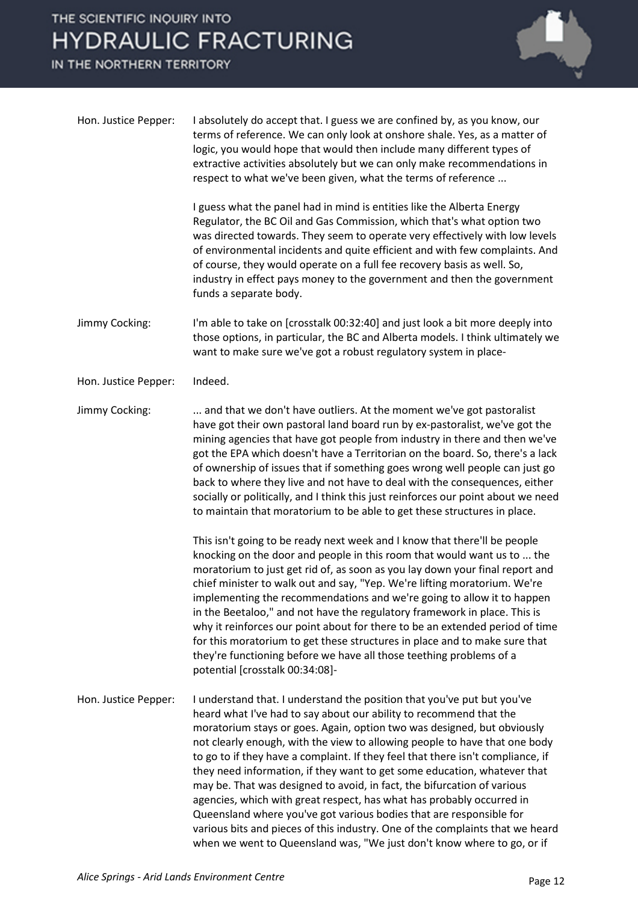

| Hon. Justice Pepper: | I absolutely do accept that. I guess we are confined by, as you know, our<br>terms of reference. We can only look at onshore shale. Yes, as a matter of<br>logic, you would hope that would then include many different types of<br>extractive activities absolutely but we can only make recommendations in<br>respect to what we've been given, what the terms of reference                                                                                                                                                                                                                                                                                                                                                                                                                                                                               |
|----------------------|-------------------------------------------------------------------------------------------------------------------------------------------------------------------------------------------------------------------------------------------------------------------------------------------------------------------------------------------------------------------------------------------------------------------------------------------------------------------------------------------------------------------------------------------------------------------------------------------------------------------------------------------------------------------------------------------------------------------------------------------------------------------------------------------------------------------------------------------------------------|
|                      | I guess what the panel had in mind is entities like the Alberta Energy<br>Regulator, the BC Oil and Gas Commission, which that's what option two<br>was directed towards. They seem to operate very effectively with low levels<br>of environmental incidents and quite efficient and with few complaints. And<br>of course, they would operate on a full fee recovery basis as well. So,<br>industry in effect pays money to the government and then the government<br>funds a separate body.                                                                                                                                                                                                                                                                                                                                                              |
| Jimmy Cocking:       | I'm able to take on [crosstalk 00:32:40] and just look a bit more deeply into<br>those options, in particular, the BC and Alberta models. I think ultimately we<br>want to make sure we've got a robust regulatory system in place-                                                                                                                                                                                                                                                                                                                                                                                                                                                                                                                                                                                                                         |
| Hon. Justice Pepper: | Indeed.                                                                                                                                                                                                                                                                                                                                                                                                                                                                                                                                                                                                                                                                                                                                                                                                                                                     |
| Jimmy Cocking:       | and that we don't have outliers. At the moment we've got pastoralist<br>have got their own pastoral land board run by ex-pastoralist, we've got the<br>mining agencies that have got people from industry in there and then we've<br>got the EPA which doesn't have a Territorian on the board. So, there's a lack<br>of ownership of issues that if something goes wrong well people can just go<br>back to where they live and not have to deal with the consequences, either<br>socially or politically, and I think this just reinforces our point about we need<br>to maintain that moratorium to be able to get these structures in place.                                                                                                                                                                                                            |
|                      | This isn't going to be ready next week and I know that there'll be people<br>knocking on the door and people in this room that would want us to  the<br>moratorium to just get rid of, as soon as you lay down your final report and<br>chief minister to walk out and say, "Yep. We're lifting moratorium. We're<br>implementing the recommendations and we're going to allow it to happen<br>in the Beetaloo," and not have the regulatory framework in place. This is<br>why it reinforces our point about for there to be an extended period of time<br>for this moratorium to get these structures in place and to make sure that<br>they're functioning before we have all those teething problems of a<br>potential [crosstalk 00:34:08]-                                                                                                            |
| Hon. Justice Pepper: | I understand that. I understand the position that you've put but you've<br>heard what I've had to say about our ability to recommend that the<br>moratorium stays or goes. Again, option two was designed, but obviously<br>not clearly enough, with the view to allowing people to have that one body<br>to go to if they have a complaint. If they feel that there isn't compliance, if<br>they need information, if they want to get some education, whatever that<br>may be. That was designed to avoid, in fact, the bifurcation of various<br>agencies, which with great respect, has what has probably occurred in<br>Queensland where you've got various bodies that are responsible for<br>various bits and pieces of this industry. One of the complaints that we heard<br>when we went to Queensland was, "We just don't know where to go, or if |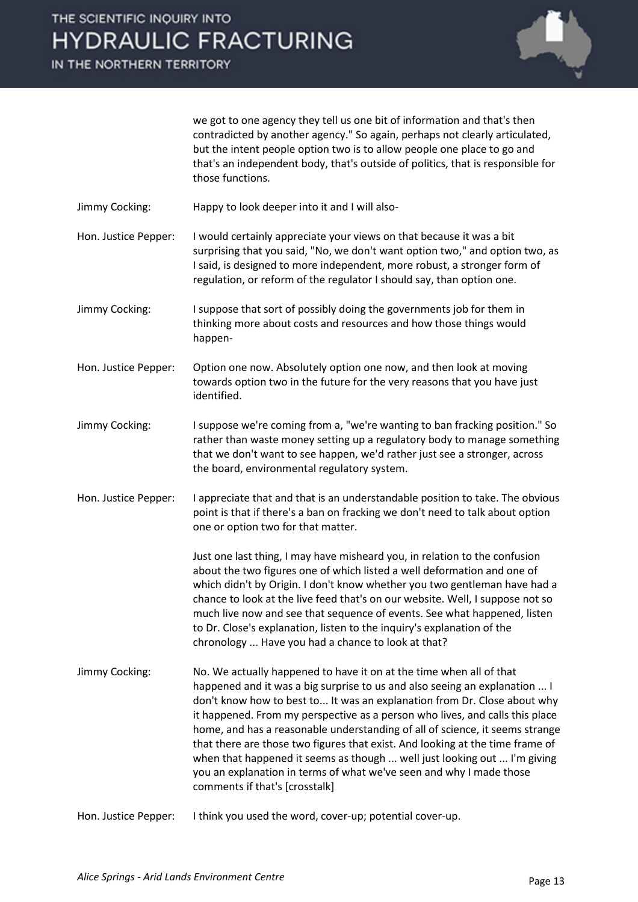

we got to one agency they tell us one bit of information and that's then contradicted by another agency." So again, perhaps not clearly articulated, but the intent people option two is to allow people one place to go and that's an independent body, that's outside of politics, that is responsible for those functions.

Jimmy Cocking: Happy to look deeper into it and I will also-

Hon. Justice Pepper: I would certainly appreciate your views on that because it was a bit surprising that you said, "No, we don't want option two," and option two, as I said, is designed to more independent, more robust, a stronger form of regulation, or reform of the regulator I should say, than option one.

- Jimmy Cocking: I suppose that sort of possibly doing the governments job for them in thinking more about costs and resources and how those things would happen-
- Hon. Justice Pepper: Option one now. Absolutely option one now, and then look at moving towards option two in the future for the very reasons that you have just identified.
- Jimmy Cocking: I suppose we're coming from a, "we're wanting to ban fracking position." So rather than waste money setting up a regulatory body to manage something that we don't want to see happen, we'd rather just see a stronger, across the board, environmental regulatory system.
- Hon. Justice Pepper: I appreciate that and that is an understandable position to take. The obvious point is that if there's a ban on fracking we don't need to talk about option one or option two for that matter.

Just one last thing, I may have misheard you, in relation to the confusion about the two figures one of which listed a well deformation and one of which didn't by Origin. I don't know whether you two gentleman have had a chance to look at the live feed that's on our website. Well, I suppose not so much live now and see that sequence of events. See what happened, listen to Dr. Close's explanation, listen to the inquiry's explanation of the chronology ... Have you had a chance to look at that?

- Jimmy Cocking: No. We actually happened to have it on at the time when all of that happened and it was a big surprise to us and also seeing an explanation ... I don't know how to best to... It was an explanation from Dr. Close about why it happened. From my perspective as a person who lives, and calls this place home, and has a reasonable understanding of all of science, it seems strange that there are those two figures that exist. And looking at the time frame of when that happened it seems as though ... well just looking out ... I'm giving you an explanation in terms of what we've seen and why I made those comments if that's [crosstalk]
- Hon. Justice Pepper: I think you used the word, cover-up; potential cover-up.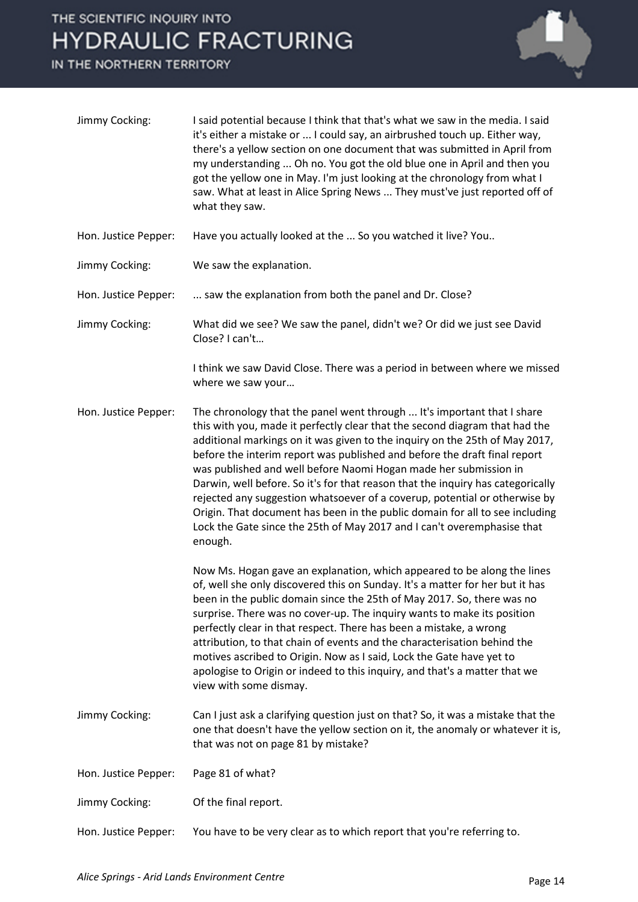

| Jimmy Cocking:       | I said potential because I think that that's what we saw in the media. I said<br>it's either a mistake or  I could say, an airbrushed touch up. Either way,<br>there's a yellow section on one document that was submitted in April from<br>my understanding  Oh no. You got the old blue one in April and then you<br>got the yellow one in May. I'm just looking at the chronology from what I<br>saw. What at least in Alice Spring News  They must've just reported off of<br>what they saw.                                                                                                                                                                                                                              |
|----------------------|-------------------------------------------------------------------------------------------------------------------------------------------------------------------------------------------------------------------------------------------------------------------------------------------------------------------------------------------------------------------------------------------------------------------------------------------------------------------------------------------------------------------------------------------------------------------------------------------------------------------------------------------------------------------------------------------------------------------------------|
| Hon. Justice Pepper: | Have you actually looked at the  So you watched it live? You                                                                                                                                                                                                                                                                                                                                                                                                                                                                                                                                                                                                                                                                  |
| Jimmy Cocking:       | We saw the explanation.                                                                                                                                                                                                                                                                                                                                                                                                                                                                                                                                                                                                                                                                                                       |
| Hon. Justice Pepper: | saw the explanation from both the panel and Dr. Close?                                                                                                                                                                                                                                                                                                                                                                                                                                                                                                                                                                                                                                                                        |
| Jimmy Cocking:       | What did we see? We saw the panel, didn't we? Or did we just see David<br>Close? I can't                                                                                                                                                                                                                                                                                                                                                                                                                                                                                                                                                                                                                                      |
|                      | I think we saw David Close. There was a period in between where we missed<br>where we saw your                                                                                                                                                                                                                                                                                                                                                                                                                                                                                                                                                                                                                                |
| Hon. Justice Pepper: | The chronology that the panel went through  It's important that I share<br>this with you, made it perfectly clear that the second diagram that had the<br>additional markings on it was given to the inquiry on the 25th of May 2017,<br>before the interim report was published and before the draft final report<br>was published and well before Naomi Hogan made her submission in<br>Darwin, well before. So it's for that reason that the inquiry has categorically<br>rejected any suggestion whatsoever of a coverup, potential or otherwise by<br>Origin. That document has been in the public domain for all to see including<br>Lock the Gate since the 25th of May 2017 and I can't overemphasise that<br>enough. |
|                      | Now Ms. Hogan gave an explanation, which appeared to be along the lines<br>of, well she only discovered this on Sunday. It's a matter for her but it has<br>been in the public domain since the 25th of May 2017. So, there was no<br>surprise. There was no cover-up. The inquiry wants to make its position<br>perfectly clear in that respect. There has been a mistake, a wrong<br>attribution, to that chain of events and the characterisation behind the<br>motives ascribed to Origin. Now as I said, Lock the Gate have yet to<br>apologise to Origin or indeed to this inquiry, and that's a matter that we<br>view with some dismay.                                                                               |
| Jimmy Cocking:       | Can I just ask a clarifying question just on that? So, it was a mistake that the<br>one that doesn't have the yellow section on it, the anomaly or whatever it is,<br>that was not on page 81 by mistake?                                                                                                                                                                                                                                                                                                                                                                                                                                                                                                                     |
| Hon. Justice Pepper: | Page 81 of what?                                                                                                                                                                                                                                                                                                                                                                                                                                                                                                                                                                                                                                                                                                              |
| Jimmy Cocking:       | Of the final report.                                                                                                                                                                                                                                                                                                                                                                                                                                                                                                                                                                                                                                                                                                          |
| Hon. Justice Pepper: | You have to be very clear as to which report that you're referring to.                                                                                                                                                                                                                                                                                                                                                                                                                                                                                                                                                                                                                                                        |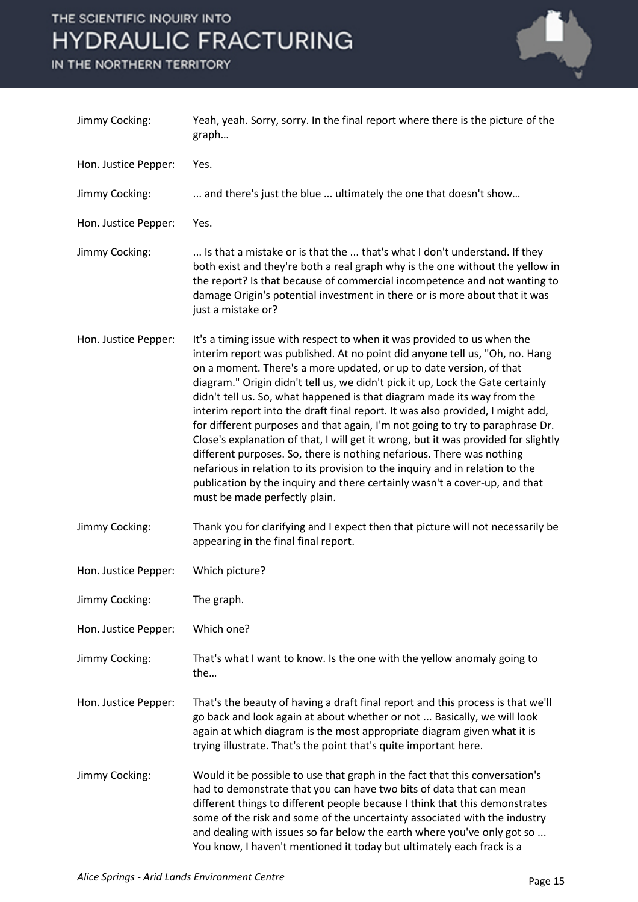

| Jimmy Cocking:       | Yeah, yeah. Sorry, sorry. In the final report where there is the picture of the<br>graph                                                                                                                                                                                                                                                                                                                                                                                                                                                                                                                                                                                                                                                                                                                                                                                                                                    |
|----------------------|-----------------------------------------------------------------------------------------------------------------------------------------------------------------------------------------------------------------------------------------------------------------------------------------------------------------------------------------------------------------------------------------------------------------------------------------------------------------------------------------------------------------------------------------------------------------------------------------------------------------------------------------------------------------------------------------------------------------------------------------------------------------------------------------------------------------------------------------------------------------------------------------------------------------------------|
| Hon. Justice Pepper: | Yes.                                                                                                                                                                                                                                                                                                                                                                                                                                                                                                                                                                                                                                                                                                                                                                                                                                                                                                                        |
| Jimmy Cocking:       | and there's just the blue  ultimately the one that doesn't show                                                                                                                                                                                                                                                                                                                                                                                                                                                                                                                                                                                                                                                                                                                                                                                                                                                             |
| Hon. Justice Pepper: | Yes.                                                                                                                                                                                                                                                                                                                                                                                                                                                                                                                                                                                                                                                                                                                                                                                                                                                                                                                        |
| Jimmy Cocking:       | Is that a mistake or is that the  that's what I don't understand. If they<br>both exist and they're both a real graph why is the one without the yellow in<br>the report? Is that because of commercial incompetence and not wanting to<br>damage Origin's potential investment in there or is more about that it was<br>just a mistake or?                                                                                                                                                                                                                                                                                                                                                                                                                                                                                                                                                                                 |
| Hon. Justice Pepper: | It's a timing issue with respect to when it was provided to us when the<br>interim report was published. At no point did anyone tell us, "Oh, no. Hang<br>on a moment. There's a more updated, or up to date version, of that<br>diagram." Origin didn't tell us, we didn't pick it up, Lock the Gate certainly<br>didn't tell us. So, what happened is that diagram made its way from the<br>interim report into the draft final report. It was also provided, I might add,<br>for different purposes and that again, I'm not going to try to paraphrase Dr.<br>Close's explanation of that, I will get it wrong, but it was provided for slightly<br>different purposes. So, there is nothing nefarious. There was nothing<br>nefarious in relation to its provision to the inquiry and in relation to the<br>publication by the inquiry and there certainly wasn't a cover-up, and that<br>must be made perfectly plain. |
| Jimmy Cocking:       | Thank you for clarifying and I expect then that picture will not necessarily be<br>appearing in the final final report.                                                                                                                                                                                                                                                                                                                                                                                                                                                                                                                                                                                                                                                                                                                                                                                                     |
| Hon. Justice Pepper: | Which picture?                                                                                                                                                                                                                                                                                                                                                                                                                                                                                                                                                                                                                                                                                                                                                                                                                                                                                                              |
| Jimmy Cocking:       | The graph.                                                                                                                                                                                                                                                                                                                                                                                                                                                                                                                                                                                                                                                                                                                                                                                                                                                                                                                  |
| Hon. Justice Pepper: | Which one?                                                                                                                                                                                                                                                                                                                                                                                                                                                                                                                                                                                                                                                                                                                                                                                                                                                                                                                  |
| Jimmy Cocking:       | That's what I want to know. Is the one with the yellow anomaly going to<br>the                                                                                                                                                                                                                                                                                                                                                                                                                                                                                                                                                                                                                                                                                                                                                                                                                                              |
| Hon. Justice Pepper: | That's the beauty of having a draft final report and this process is that we'll<br>go back and look again at about whether or not  Basically, we will look<br>again at which diagram is the most appropriate diagram given what it is<br>trying illustrate. That's the point that's quite important here.                                                                                                                                                                                                                                                                                                                                                                                                                                                                                                                                                                                                                   |
| Jimmy Cocking:       | Would it be possible to use that graph in the fact that this conversation's<br>had to demonstrate that you can have two bits of data that can mean<br>different things to different people because I think that this demonstrates<br>some of the risk and some of the uncertainty associated with the industry<br>and dealing with issues so far below the earth where you've only got so<br>You know, I haven't mentioned it today but ultimately each frack is a                                                                                                                                                                                                                                                                                                                                                                                                                                                          |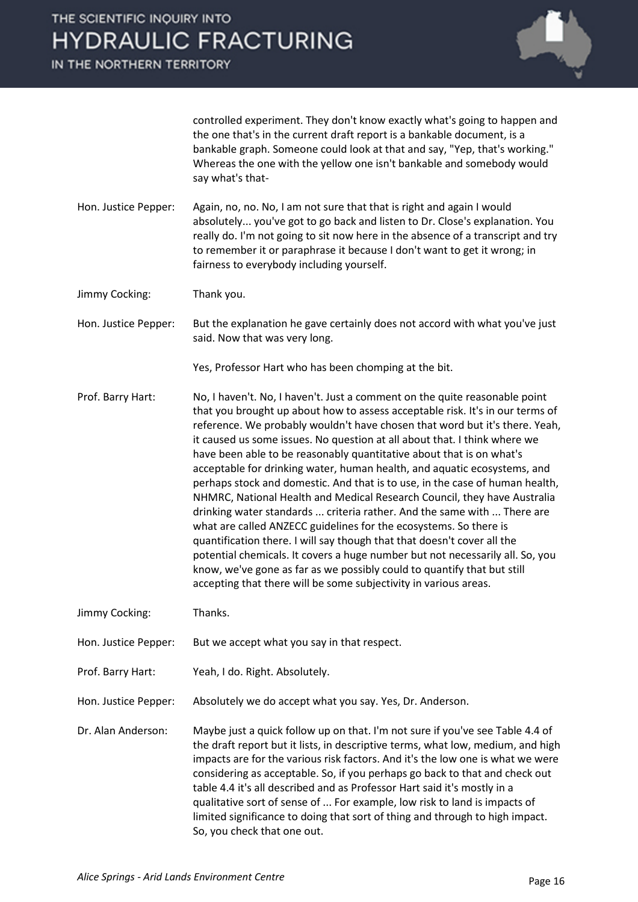

controlled experiment. They don't know exactly what's going to happen and the one that's in the current draft report is a bankable document, is a bankable graph. Someone could look at that and say, "Yep, that's working." Whereas the one with the yellow one isn't bankable and somebody would say what's that-

Hon. Justice Pepper: Again, no, no. No, I am not sure that that is right and again I would absolutely... you've got to go back and listen to Dr. Close's explanation. You really do. I'm not going to sit now here in the absence of a transcript and try to remember it or paraphrase it because I don't want to get it wrong; in fairness to everybody including yourself.

Jimmy Cocking: Thank you.

Hon. Justice Pepper: But the explanation he gave certainly does not accord with what you've just said. Now that was very long.

Yes, Professor Hart who has been chomping at the bit.

Prof. Barry Hart: No, I haven't. No, I haven't. Just a comment on the quite reasonable point that you brought up about how to assess acceptable risk. It's in our terms of reference. We probably wouldn't have chosen that word but it's there. Yeah, it caused us some issues. No question at all about that. I think where we have been able to be reasonably quantitative about that is on what's acceptable for drinking water, human health, and aquatic ecosystems, and perhaps stock and domestic. And that is to use, in the case of human health, NHMRC, National Health and Medical Research Council, they have Australia drinking water standards ... criteria rather. And the same with ... There are what are called ANZECC guidelines for the ecosystems. So there is quantification there. I will say though that that doesn't cover all the potential chemicals. It covers a huge number but not necessarily all. So, you know, we've gone as far as we possibly could to quantify that but still accepting that there will be some subjectivity in various areas.

Jimmy Cocking: Thanks.

Hon. Justice Pepper: But we accept what you say in that respect.

Prof. Barry Hart: Yeah, I do. Right. Absolutely.

Hon. Justice Pepper: Absolutely we do accept what you say. Yes, Dr. Anderson.

Dr. Alan Anderson: Maybe just a quick follow up on that. I'm not sure if you've see Table 4.4 of the draft report but it lists, in descriptive terms, what low, medium, and high impacts are for the various risk factors. And it's the low one is what we were considering as acceptable. So, if you perhaps go back to that and check out table 4.4 it's all described and as Professor Hart said it's mostly in a qualitative sort of sense of ... For example, low risk to land is impacts of limited significance to doing that sort of thing and through to high impact. So, you check that one out.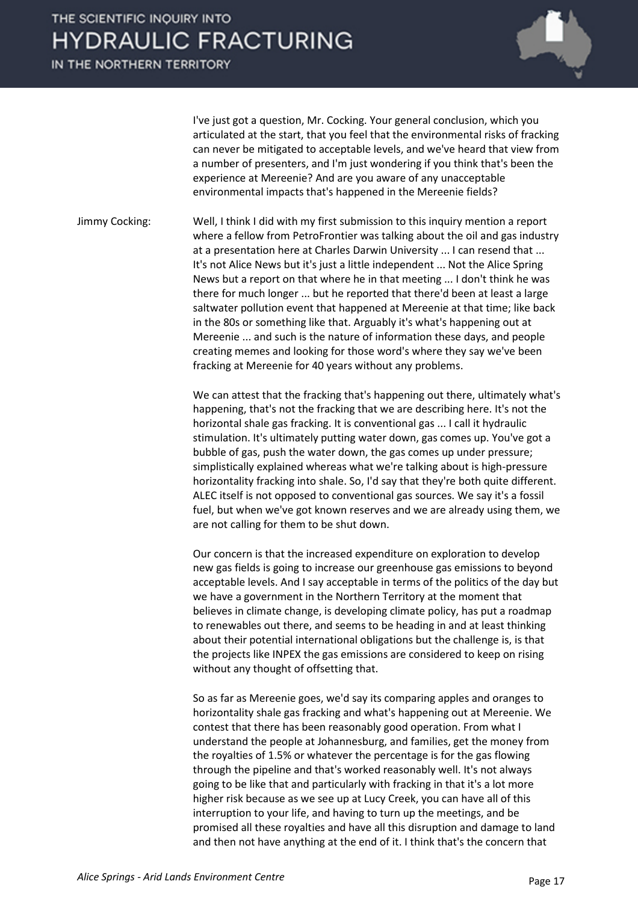IN THE NORTHERN TERRITORY



I've just got a question, Mr. Cocking. Your general conclusion, which you articulated at the start, that you feel that the environmental risks of fracking can never be mitigated to acceptable levels, and we've heard that view from a number of presenters, and I'm just wondering if you think that's been the experience at Mereenie? And are you aware of any unacceptable environmental impacts that's happened in the Mereenie fields?

Jimmy Cocking: Well, I think I did with my first submission to this inquiry mention a report where a fellow from PetroFrontier was talking about the oil and gas industry at a presentation here at Charles Darwin University ... I can resend that ... It's not Alice News but it's just a little independent ... Not the Alice Spring News but a report on that where he in that meeting ... I don't think he was there for much longer ... but he reported that there'd been at least a large saltwater pollution event that happened at Mereenie at that time; like back in the 80s or something like that. Arguably it's what's happening out at Mereenie ... and such is the nature of information these days, and people creating memes and looking for those word's where they say we've been fracking at Mereenie for 40 years without any problems.

> We can attest that the fracking that's happening out there, ultimately what's happening, that's not the fracking that we are describing here. It's not the horizontal shale gas fracking. It is conventional gas ... I call it hydraulic stimulation. It's ultimately putting water down, gas comes up. You've got a bubble of gas, push the water down, the gas comes up under pressure; simplistically explained whereas what we're talking about is high-pressure horizontality fracking into shale. So, I'd say that they're both quite different. ALEC itself is not opposed to conventional gas sources. We say it's a fossil fuel, but when we've got known reserves and we are already using them, we are not calling for them to be shut down.

> Our concern is that the increased expenditure on exploration to develop new gas fields is going to increase our greenhouse gas emissions to beyond acceptable levels. And I say acceptable in terms of the politics of the day but we have a government in the Northern Territory at the moment that believes in climate change, is developing climate policy, has put a roadmap to renewables out there, and seems to be heading in and at least thinking about their potential international obligations but the challenge is, is that the projects like INPEX the gas emissions are considered to keep on rising without any thought of offsetting that.

So as far as Mereenie goes, we'd say its comparing apples and oranges to horizontality shale gas fracking and what's happening out at Mereenie. We contest that there has been reasonably good operation. From what I understand the people at Johannesburg, and families, get the money from the royalties of 1.5% or whatever the percentage is for the gas flowing through the pipeline and that's worked reasonably well. It's not always going to be like that and particularly with fracking in that it's a lot more higher risk because as we see up at Lucy Creek, you can have all of this interruption to your life, and having to turn up the meetings, and be promised all these royalties and have all this disruption and damage to land and then not have anything at the end of it. I think that's the concern that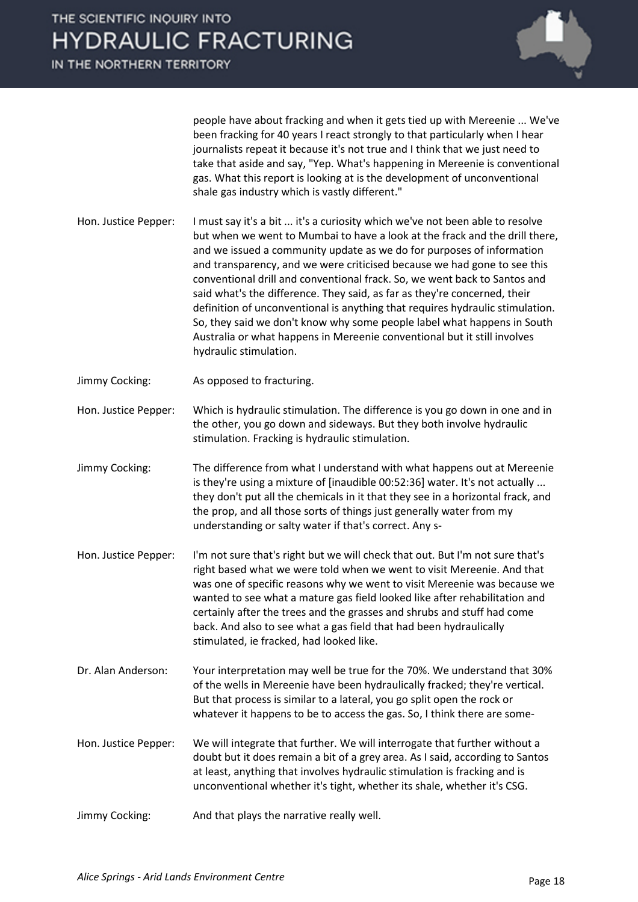

people have about fracking and when it gets tied up with Mereenie ... We've been fracking for 40 years I react strongly to that particularly when I hear journalists repeat it because it's not true and I think that we just need to take that aside and say, "Yep. What's happening in Mereenie is conventional gas. What this report is looking at is the development of unconventional shale gas industry which is vastly different."

- Hon. Justice Pepper: I must say it's a bit ... it's a curiosity which we've not been able to resolve but when we went to Mumbai to have a look at the frack and the drill there, and we issued a community update as we do for purposes of information and transparency, and we were criticised because we had gone to see this conventional drill and conventional frack. So, we went back to Santos and said what's the difference. They said, as far as they're concerned, their definition of unconventional is anything that requires hydraulic stimulation. So, they said we don't know why some people label what happens in South Australia or what happens in Mereenie conventional but it still involves hydraulic stimulation.
- Jimmy Cocking: As opposed to fracturing.
- Hon. Justice Pepper: Which is hydraulic stimulation. The difference is you go down in one and in the other, you go down and sideways. But they both involve hydraulic stimulation. Fracking is hydraulic stimulation.
- Jimmy Cocking: The difference from what I understand with what happens out at Mereenie is they're using a mixture of [inaudible 00:52:36] water. It's not actually ... they don't put all the chemicals in it that they see in a horizontal frack, and the prop, and all those sorts of things just generally water from my understanding or salty water if that's correct. Any s-
- Hon. Justice Pepper: I'm not sure that's right but we will check that out. But I'm not sure that's right based what we were told when we went to visit Mereenie. And that was one of specific reasons why we went to visit Mereenie was because we wanted to see what a mature gas field looked like after rehabilitation and certainly after the trees and the grasses and shrubs and stuff had come back. And also to see what a gas field that had been hydraulically stimulated, ie fracked, had looked like.
- Dr. Alan Anderson: Your interpretation may well be true for the 70%. We understand that 30% of the wells in Mereenie have been hydraulically fracked; they're vertical. But that process is similar to a lateral, you go split open the rock or whatever it happens to be to access the gas. So, I think there are some-
- Hon. Justice Pepper: We will integrate that further. We will interrogate that further without a doubt but it does remain a bit of a grey area. As I said, according to Santos at least, anything that involves hydraulic stimulation is fracking and is unconventional whether it's tight, whether its shale, whether it's CSG.
- Jimmy Cocking: And that plays the narrative really well.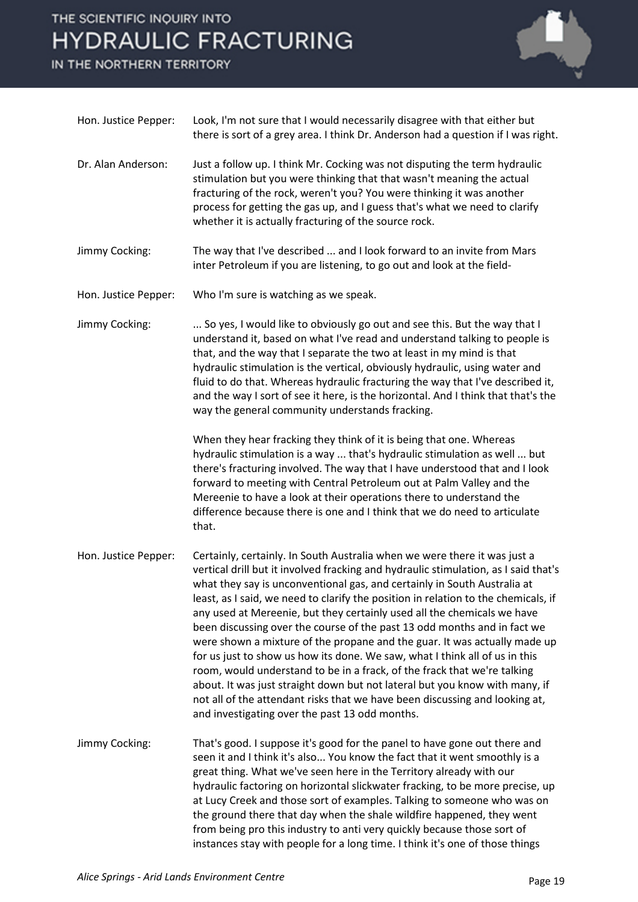

| Hon. Justice Pepper: | Look, I'm not sure that I would necessarily disagree with that either but<br>there is sort of a grey area. I think Dr. Anderson had a question if I was right.                                                                                                                                                                                                                                                                                                                                                                                                                                                                                                                                                                                                                                                                                                                                                                                    |
|----------------------|---------------------------------------------------------------------------------------------------------------------------------------------------------------------------------------------------------------------------------------------------------------------------------------------------------------------------------------------------------------------------------------------------------------------------------------------------------------------------------------------------------------------------------------------------------------------------------------------------------------------------------------------------------------------------------------------------------------------------------------------------------------------------------------------------------------------------------------------------------------------------------------------------------------------------------------------------|
| Dr. Alan Anderson:   | Just a follow up. I think Mr. Cocking was not disputing the term hydraulic<br>stimulation but you were thinking that that wasn't meaning the actual<br>fracturing of the rock, weren't you? You were thinking it was another<br>process for getting the gas up, and I guess that's what we need to clarify<br>whether it is actually fracturing of the source rock.                                                                                                                                                                                                                                                                                                                                                                                                                                                                                                                                                                               |
| Jimmy Cocking:       | The way that I've described  and I look forward to an invite from Mars<br>inter Petroleum if you are listening, to go out and look at the field-                                                                                                                                                                                                                                                                                                                                                                                                                                                                                                                                                                                                                                                                                                                                                                                                  |
| Hon. Justice Pepper: | Who I'm sure is watching as we speak.                                                                                                                                                                                                                                                                                                                                                                                                                                                                                                                                                                                                                                                                                                                                                                                                                                                                                                             |
| Jimmy Cocking:       | So yes, I would like to obviously go out and see this. But the way that I<br>understand it, based on what I've read and understand talking to people is<br>that, and the way that I separate the two at least in my mind is that<br>hydraulic stimulation is the vertical, obviously hydraulic, using water and<br>fluid to do that. Whereas hydraulic fracturing the way that I've described it,<br>and the way I sort of see it here, is the horizontal. And I think that that's the<br>way the general community understands fracking.<br>When they hear fracking they think of it is being that one. Whereas<br>hydraulic stimulation is a way  that's hydraulic stimulation as well  but                                                                                                                                                                                                                                                     |
|                      | there's fracturing involved. The way that I have understood that and I look<br>forward to meeting with Central Petroleum out at Palm Valley and the<br>Mereenie to have a look at their operations there to understand the<br>difference because there is one and I think that we do need to articulate<br>that.                                                                                                                                                                                                                                                                                                                                                                                                                                                                                                                                                                                                                                  |
| Hon. Justice Pepper: | Certainly, certainly. In South Australia when we were there it was just a<br>vertical drill but it involved fracking and hydraulic stimulation, as I said that's<br>what they say is unconventional gas, and certainly in South Australia at<br>least, as I said, we need to clarify the position in relation to the chemicals, if<br>any used at Mereenie, but they certainly used all the chemicals we have<br>been discussing over the course of the past 13 odd months and in fact we<br>were shown a mixture of the propane and the guar. It was actually made up<br>for us just to show us how its done. We saw, what I think all of us in this<br>room, would understand to be in a frack, of the frack that we're talking<br>about. It was just straight down but not lateral but you know with many, if<br>not all of the attendant risks that we have been discussing and looking at,<br>and investigating over the past 13 odd months. |
| Jimmy Cocking:       | That's good. I suppose it's good for the panel to have gone out there and<br>seen it and I think it's also You know the fact that it went smoothly is a<br>great thing. What we've seen here in the Territory already with our<br>hydraulic factoring on horizontal slickwater fracking, to be more precise, up<br>at Lucy Creek and those sort of examples. Talking to someone who was on<br>the ground there that day when the shale wildfire happened, they went<br>from being pro this industry to anti very quickly because those sort of<br>instances stay with people for a long time. I think it's one of those things                                                                                                                                                                                                                                                                                                                    |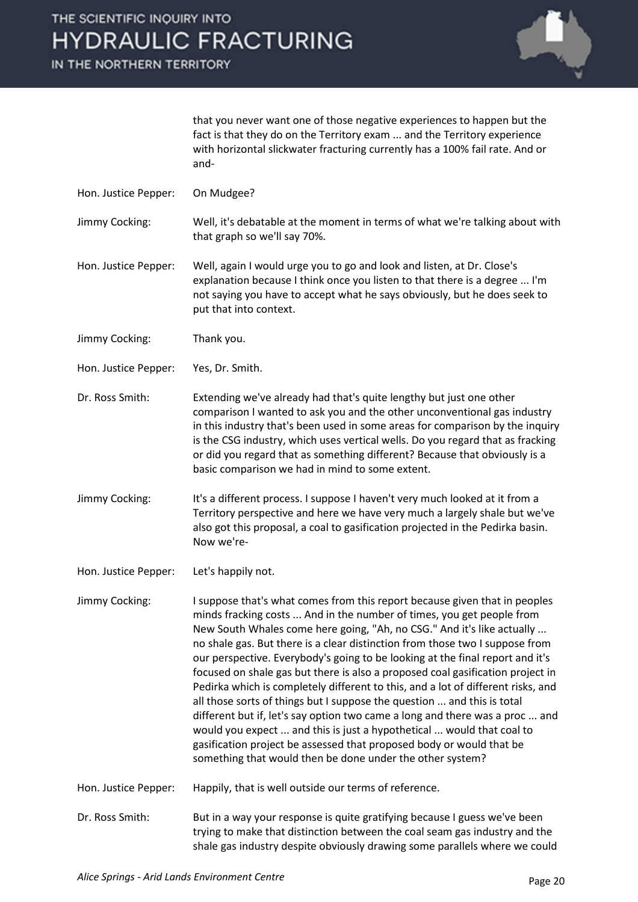IN THE NORTHERN TERRITORY



that you never want one of those negative experiences to happen but the fact is that they do on the Territory exam ... and the Territory experience with horizontal slickwater fracturing currently has a 100% fail rate. And or and-

Hon. Justice Pepper: On Mudgee?

Jimmy Cocking: Well, it's debatable at the moment in terms of what we're talking about with that graph so we'll say 70%.

Hon. Justice Pepper: Well, again I would urge you to go and look and listen, at Dr. Close's explanation because I think once you listen to that there is a degree ... I'm not saying you have to accept what he says obviously, but he does seek to put that into context.

Jimmy Cocking: Thank you.

Hon. Justice Pepper: Yes, Dr. Smith.

Dr. Ross Smith: Extending we've already had that's quite lengthy but just one other comparison I wanted to ask you and the other unconventional gas industry in this industry that's been used in some areas for comparison by the inquiry is the CSG industry, which uses vertical wells. Do you regard that as fracking or did you regard that as something different? Because that obviously is a basic comparison we had in mind to some extent.

Jimmy Cocking: It's a different process. I suppose I haven't very much looked at it from a Territory perspective and here we have very much a largely shale but we've also got this proposal, a coal to gasification projected in the Pedirka basin. Now we're-

Hon. Justice Pepper: Let's happily not.

Jimmy Cocking: I suppose that's what comes from this report because given that in peoples minds fracking costs ... And in the number of times, you get people from New South Whales come here going, "Ah, no CSG." And it's like actually ... no shale gas. But there is a clear distinction from those two I suppose from our perspective. Everybody's going to be looking at the final report and it's focused on shale gas but there is also a proposed coal gasification project in Pedirka which is completely different to this, and a lot of different risks, and all those sorts of things but I suppose the question ... and this is total different but if, let's say option two came a long and there was a proc ... and would you expect ... and this is just a hypothetical ... would that coal to gasification project be assessed that proposed body or would that be something that would then be done under the other system?

Hon. Justice Pepper: Happily, that is well outside our terms of reference.

Dr. Ross Smith: But in a way your response is quite gratifying because I guess we've been trying to make that distinction between the coal seam gas industry and the shale gas industry despite obviously drawing some parallels where we could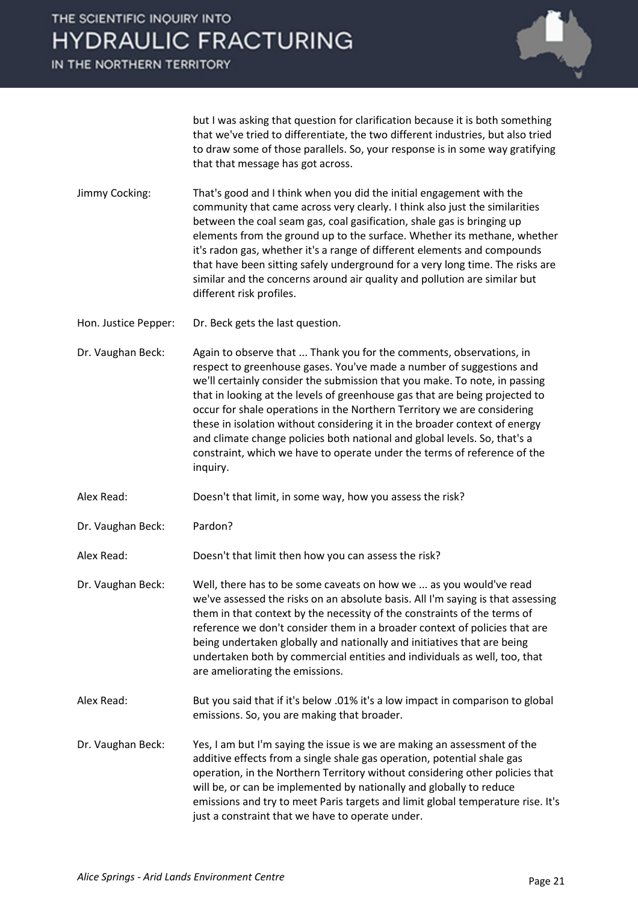

but I was asking that question for clarification because it is both something that we've tried to differentiate, the two different industries, but also tried to draw some of those parallels. So, your response is in some way gratifying that that message has got across.

- Jimmy Cocking: That's good and I think when you did the initial engagement with the community that came across very clearly. I think also just the similarities between the coal seam gas, coal gasification, shale gas is bringing up elements from the ground up to the surface. Whether its methane, whether it's radon gas, whether it's a range of different elements and compounds that have been sitting safely underground for a very long time. The risks are similar and the concerns around air quality and pollution are similar but different risk profiles.
- Hon. Justice Pepper: Dr. Beck gets the last question.
- Dr. Vaughan Beck: Again to observe that ... Thank you for the comments, observations, in respect to greenhouse gases. You've made a number of suggestions and we'll certainly consider the submission that you make. To note, in passing that in looking at the levels of greenhouse gas that are being projected to occur for shale operations in the Northern Territory we are considering these in isolation without considering it in the broader context of energy and climate change policies both national and global levels. So, that's a constraint, which we have to operate under the terms of reference of the inquiry.
- Alex Read: Doesn't that limit, in some way, how you assess the risk?
- Dr. Vaughan Beck: Pardon?

Alex Read: Doesn't that limit then how you can assess the risk?

Dr. Vaughan Beck: Well, there has to be some caveats on how we ... as you would've read we've assessed the risks on an absolute basis. All I'm saying is that assessing them in that context by the necessity of the constraints of the terms of reference we don't consider them in a broader context of policies that are being undertaken globally and nationally and initiatives that are being undertaken both by commercial entities and individuals as well, too, that are ameliorating the emissions.

- Alex Read: But you said that if it's below .01% it's a low impact in comparison to global emissions. So, you are making that broader.
- Dr. Vaughan Beck: Yes, I am but I'm saying the issue is we are making an assessment of the additive effects from a single shale gas operation, potential shale gas operation, in the Northern Territory without considering other policies that will be, or can be implemented by nationally and globally to reduce emissions and try to meet Paris targets and limit global temperature rise. It's just a constraint that we have to operate under.